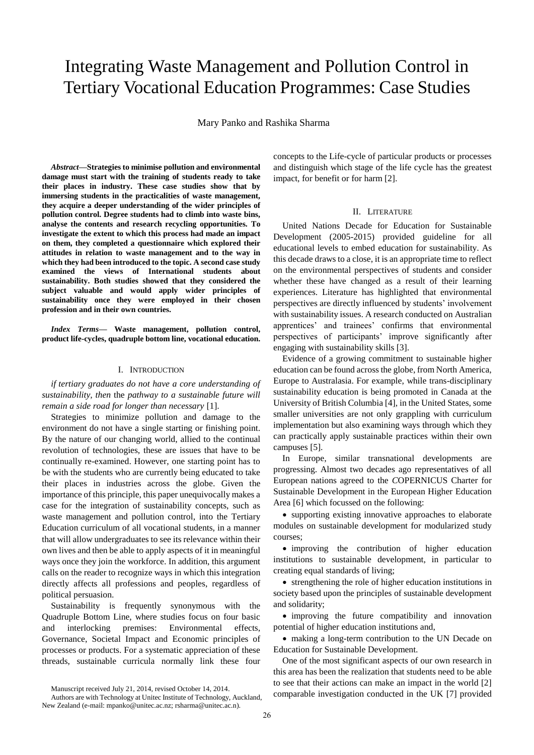# Integrating Waste Management and Pollution Control in Tertiary Vocational Education Programmes: Case Studies

Mary Panko and Rashika Sharma

*Abstract***—Strategies to minimise pollution and environmental damage must start with the training of students ready to take their places in industry. These case studies show that by immersing students in the practicalities of waste management, they acquire a deeper understanding of the wider principles of pollution control. Degree students had to climb into waste bins, analyse the contents and research recycling opportunities. To investigate the extent to which this process had made an impact on them, they completed a questionnaire which explored their attitudes in relation to waste management and to the way in which they had been introduced to the topic. A second case study examined the views of International students about sustainability. Both studies showed that they considered the subject valuable and would apply wider principles of sustainability once they were employed in their chosen profession and in their own countries.**

*Index Terms***— Waste management, pollution control, product life-cycles, quadruple bottom line, vocational education.**

## I. INTRODUCTION

*if tertiary graduates do not have a core understanding of sustainability, then* the *pathway to a sustainable future will remain a side road for longer than necessary* [1].

Strategies to minimize pollution and damage to the environment do not have a single starting or finishing point. By the nature of our changing world, allied to the continual revolution of technologies, these are issues that have to be continually re-examined. However, one starting point has to be with the students who are currently being educated to take their places in industries across the globe. Given the importance of this principle, this paper unequivocally makes a case for the integration of sustainability concepts, such as waste management and pollution control, into the Tertiary Education curriculum of all vocational students, in a manner that will allow undergraduates to see its relevance within their own lives and then be able to apply aspects of it in meaningful ways once they join the workforce. In addition, this argument calls on the reader to recognize ways in which this integration directly affects all professions and peoples, regardless of political persuasion.

Sustainability is frequently synonymous with the Quadruple Bottom Line, where studies focus on four basic and interlocking premises: Environmental effects, Governance, Societal Impact and Economic principles of processes or products. For a systematic appreciation of these threads, sustainable curricula normally link these four

Manuscript received July 21, 2014, revised October 14, 2014.

Authors are with Technology at Unitec Institute of Technology, Auckland, New Zealand (e-mail: mpanko@unitec.ac.nz; rsharma@unitec.ac.n).

concepts to the Life-cycle of particular products or processes and distinguish which stage of the life cycle has the greatest impact, for benefit or for harm [2].

## II. LITERATURE

United Nations Decade for Education for Sustainable Development (2005-2015) provided guideline for all educational levels to embed education for sustainability. As this decade draws to a close, it is an appropriate time to reflect on the environmental perspectives of students and consider whether these have changed as a result of their learning experiences. Literature has highlighted that environmental perspectives are directly influenced by students" involvement with sustainability issues. A research conducted on Australian apprentices' and trainees' confirms that environmental perspectives of participants" improve significantly after engaging with sustainability skills [3].

Evidence of a growing commitment to sustainable higher education can be found across the globe, from North America, Europe to Australasia. For example, while trans-disciplinary sustainability education is being promoted in Canada at the University of British Columbia [4], in the United States, some smaller universities are not only grappling with curriculum implementation but also examining ways through which they can practically apply sustainable practices within their own campuses [5].

In Europe, similar transnational developments are progressing. Almost two decades ago representatives of all European nations agreed to the *C*OPERNICUS Charter for Sustainable Development in the European Higher Education Area [6] which focussed on the following:

 supporting existing innovative approaches to elaborate modules on sustainable development for modularized study courses;

 improving the contribution of higher education institutions to sustainable development, in particular to creating equal standards of living;

 strengthening the role of higher education institutions in society based upon the principles of sustainable development and solidarity;

 improving the future compatibility and innovation potential of higher education institutions and,

 making a long-term contribution to the UN Decade on Education for Sustainable Development.

One of the most significant aspects of our own research in this area has been the realization that students need to be able to see that their actions can make an impact in the world [2] comparable investigation conducted in the UK [7] provided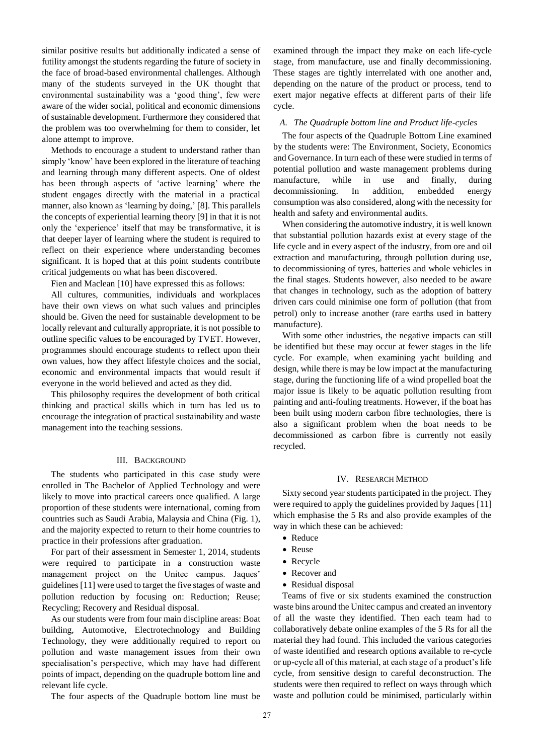similar positive results but additionally indicated a sense of futility amongst the students regarding the future of society in the face of broad-based environmental challenges. Although many of the students surveyed in the UK thought that environmental sustainability was a 'good thing', few were aware of the wider social, political and economic dimensions of sustainable development. Furthermore they considered that the problem was too overwhelming for them to consider, let alone attempt to improve.

Methods to encourage a student to understand rather than simply 'know' have been explored in the literature of teaching and learning through many different aspects. One of oldest has been through aspects of 'active learning' where the student engages directly with the material in a practical manner, also known as 'learning by doing,' [8]. This parallels the concepts of experiential learning theory [9] in that it is not only the "experience" itself that may be transformative, it is that deeper layer of learning where the student is required to reflect on their experience where understanding becomes significant. It is hoped that at this point students contribute critical judgements on what has been discovered.

Fien and Maclean [10] have expressed this as follows:

All cultures, communities, individuals and workplaces have their own views on what such values and principles should be. Given the need for sustainable development to be locally relevant and culturally appropriate, it is not possible to outline specific values to be encouraged by TVET. However, programmes should encourage students to reflect upon their own values, how they affect lifestyle choices and the social, economic and environmental impacts that would result if everyone in the world believed and acted as they did.

This philosophy requires the development of both critical thinking and practical skills which in turn has led us to encourage the integration of practical sustainability and waste management into the teaching sessions.

### III. BACKGROUND

The students who participated in this case study were enrolled in The Bachelor of Applied Technology and were likely to move into practical careers once qualified. A large proportion of these students were international, coming from countries such as Saudi Arabia, Malaysia and China (Fig. 1), and the majority expected to return to their home countries to practice in their professions after graduation.

For part of their assessment in Semester 1, 2014, students were required to participate in a construction waste management project on the Unitec campus. Jaques' guidelines [11] were used to target the five stages of waste and pollution reduction by focusing on: Reduction; Reuse; Recycling; Recovery and Residual disposal.

As our students were from four main discipline areas: Boat building, Automotive, Electrotechnology and Building Technology, they were additionally required to report on pollution and waste management issues from their own specialisation's perspective, which may have had different points of impact, depending on the quadruple bottom line and relevant life cycle.

The four aspects of the Quadruple bottom line must be

examined through the impact they make on each life-cycle stage, from manufacture, use and finally decommissioning. These stages are tightly interrelated with one another and, depending on the nature of the product or process, tend to exert major negative effects at different parts of their life cycle.

### *A. The Quadruple bottom line and Product life-cycles*

The four aspects of the Quadruple Bottom Line examined by the students were: The Environment, Society, Economics and Governance. In turn each of these were studied in terms of potential pollution and waste management problems during manufacture, while in use and finally, during decommissioning. In addition, embedded energy consumption was also considered, along with the necessity for health and safety and environmental audits.

When considering the automotive industry, it is well known that substantial pollution hazards exist at every stage of the life cycle and in every aspect of the industry, from ore and oil extraction and manufacturing, through pollution during use, to decommissioning of tyres, batteries and whole vehicles in the final stages. Students however, also needed to be aware that changes in technology, such as the adoption of battery driven cars could minimise one form of pollution (that from petrol) only to increase another (rare earths used in battery manufacture).

With some other industries, the negative impacts can still be identified but these may occur at fewer stages in the life cycle. For example, when examining yacht building and design, while there is may be low impact at the manufacturing stage, during the functioning life of a wind propelled boat the major issue is likely to be aquatic pollution resulting from painting and anti-fouling treatments. However, if the boat has been built using modern carbon fibre technologies, there is also a significant problem when the boat needs to be decommissioned as carbon fibre is currently not easily recycled.

## IV. RESEARCH METHOD

Sixty second year students participated in the project. They were required to apply the guidelines provided by Jaques [11] which emphasise the 5 Rs and also provide examples of the way in which these can be achieved:

- Reduce
- Reuse
- Recycle
- Recover and
- Residual disposal

Teams of five or six students examined the construction waste bins around the Unitec campus and created an inventory of all the waste they identified. Then each team had to collaboratively debate online examples of the 5 Rs for all the material they had found. This included the various categories of waste identified and research options available to re-cycle or up-cycle all of this material, at each stage of a product"s life cycle, from sensitive design to careful deconstruction. The students were then required to reflect on ways through which waste and pollution could be minimised, particularly within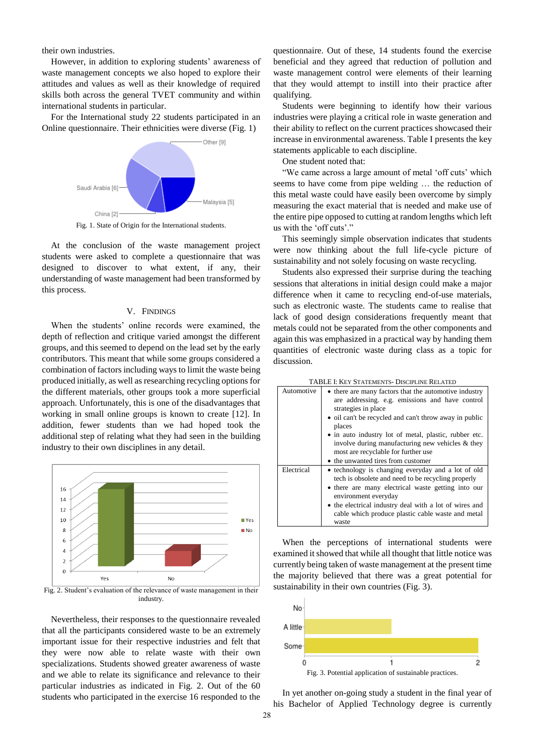their own industries.

However, in addition to exploring students' awareness of waste management concepts we also hoped to explore their attitudes and values as well as their knowledge of required skills both across the general TVET community and within international students in particular.

For the International study 22 students participated in an Online questionnaire. Their ethnicities were diverse (Fig. 1)



Fig. 1. State of Origin for the International students.

At the conclusion of the waste management project students were asked to complete a questionnaire that was designed to discover to what extent, if any, their understanding of waste management had been transformed by this process.

## V. FINDINGS

When the students' online records were examined, the depth of reflection and critique varied amongst the different groups, and this seemed to depend on the lead set by the early contributors. This meant that while some groups considered a combination of factors including ways to limit the waste being produced initially, as well as researching recycling options for the different materials, other groups took a more superficial approach. Unfortunately, this is one of the disadvantages that working in small online groups is known to create [12]. In addition, fewer students than we had hoped took the additional step of relating what they had seen in the building industry to their own disciplines in any detail.



Fig. 2. Student"s evaluation of the relevance of waste management in their industry.

Nevertheless, their responses to the questionnaire revealed that all the participants considered waste to be an extremely important issue for their respective industries and felt that they were now able to relate waste with their own specializations. Students showed greater awareness of waste and we able to relate its significance and relevance to their particular industries as indicated in Fig. 2. Out of the 60 students who participated in the exercise 16 responded to the questionnaire. Out of these, 14 students found the exercise beneficial and they agreed that reduction of pollution and waste management control were elements of their learning that they would attempt to instill into their practice after qualifying.

Students were beginning to identify how their various industries were playing a critical role in waste generation and their ability to reflect on the current practices showcased their increase in environmental awareness. Table I presents the key statements applicable to each discipline.

One student noted that:

"We came across a large amount of metal 'off cuts' which seems to have come from pipe welding … the reduction of this metal waste could have easily been overcome by simply measuring the exact material that is needed and make use of the entire pipe opposed to cutting at random lengths which left us with the 'off cuts'."

This seemingly simple observation indicates that students were now thinking about the full life-cycle picture of sustainability and not solely focusing on waste recycling.

Students also expressed their surprise during the teaching sessions that alterations in initial design could make a major difference when it came to recycling end-of-use materials, such as electronic waste. The students came to realise that lack of good design considerations frequently meant that metals could not be separated from the other components and again this was emphasized in a practical way by handing them quantities of electronic waste during class as a topic for discussion.

| Automotive | • there are many factors that the automotive industry<br>are addressing. e.g. emissions and have control<br>strategies in place                                                                                                                                                                       |
|------------|-------------------------------------------------------------------------------------------------------------------------------------------------------------------------------------------------------------------------------------------------------------------------------------------------------|
|            | • oil can't be recycled and can't throw away in public<br>places                                                                                                                                                                                                                                      |
|            | • in auto industry lot of metal, plastic, rubber etc.<br>involve during manufacturing new vehicles & they<br>most are recyclable for further use                                                                                                                                                      |
|            | • the unwanted tires from customer                                                                                                                                                                                                                                                                    |
| Electrical | • technology is changing everyday and a lot of old<br>tech is obsolete and need to be recycling properly<br>• there are many electrical waste getting into our<br>environment everyday<br>• the electrical industry deal with a lot of wires and<br>cable which produce plastic cable waste and metal |
|            | waste                                                                                                                                                                                                                                                                                                 |

When the perceptions of international students were examined it showed that while all thought that little notice was currently being taken of waste management at the present time the majority believed that there was a great potential for sustainability in their own countries (Fig. 3).



In yet another on-going study a student in the final year of his Bachelor of Applied Technology degree is currently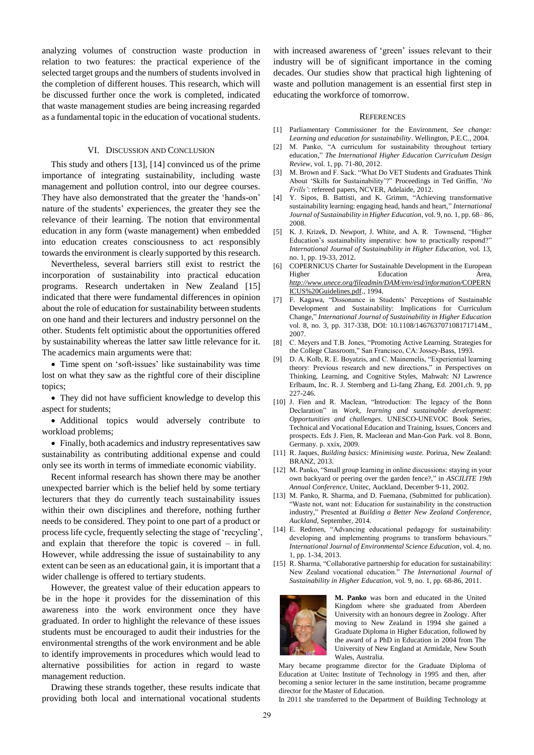analyzing volumes of construction waste production in relation to two features: the practical experience of the selected target groups and the numbers of students involved in the completion of different houses. This research, which will be discussed further once the work is completed, indicated that waste management studies are being increasing regarded as a fundamental topic in the education of vocational students.

## VI. DISCUSSION AND CONCLUSION

This study and others [13], [14] convinced us of the prime importance of integrating sustainability, including waste management and pollution control, into our degree courses. They have also demonstrated that the greater the 'hands-on' nature of the students' experiences, the greater they see the relevance of their learning. The notion that environmental education in any form (waste management) when embedded into education creates consciousness to act responsibly towards the environment is clearly supported by this research.

Nevertheless, several barriers still exist to restrict the incorporation of sustainability into practical education programs. Research undertaken in New Zealand [15] indicated that there were fundamental differences in opinion about the role of education for sustainability between students on one hand and their lecturers and industry personnel on the other. Students felt optimistic about the opportunities offered by sustainability whereas the latter saw little relevance for it. The academics main arguments were that:

• Time spent on 'soft-issues' like sustainability was time lost on what they saw as the rightful core of their discipline topics;

• They did not have sufficient knowledge to develop this aspect for students;

 Additional topics would adversely contribute to workload problems;

 Finally, both academics and industry representatives saw sustainability as contributing additional expense and could only see its worth in terms of immediate economic viability.

Recent informal research has shown there may be another unexpected barrier which is the belief held by some tertiary lecturers that they do currently teach sustainability issues within their own disciplines and therefore, nothing further needs to be considered. They point to one part of a product or process life cycle, frequently selecting the stage of "recycling", and explain that therefore the topic is covered – in full. However, while addressing the issue of sustainability to any extent can be seen as an educational gain, it is important that a wider challenge is offered to tertiary students.

However, the greatest value of their education appears to be in the hope it provides for the dissemination of this awareness into the work environment once they have graduated. In order to highlight the relevance of these issues students must be encouraged to audit their industries for the environmental strengths of the work environment and be able to identify improvements in procedures which would lead to alternative possibilities for action in regard to waste management reduction.

Drawing these strands together, these results indicate that providing both local and international vocational students

with increased awareness of 'green' issues relevant to their industry will be of significant importance in the coming decades. Our studies show that practical high lightening of waste and pollution management is an essential first step in educating the workforce of tomorrow.

#### **REFERENCES**

- [1] Parliamentary Commissioner for the Environment, *See change: Learning and education for sustainability*. Wellington, P.E.C., 2004.
- [2] M. Panko, "A curriculum for sustainability throughout tertiary education," *The International Higher Education Curriculum Design Review,* vol. 1, pp. 71-80, 2012.
- [3] M. Brown and F. Sack. "What Do VET Students and Graduates Think About "Skills for Sustainability"?" Proceedings in Ted Griffin, "*No Frills'*: refereed papers, NCVER, Adelaide, 2012.
- [4] Y. Sipos, B. Battisti, and K. Grimm, "Achieving transformative sustainability learning: engaging head, hands and heart," *International Journal of Sustainability in Higher Education*, vol. 9, no. 1, pp. 68– 86, 2008.
- [5] K. J. Krizek, D. Newport, J. White, and A. R. Townsend, "Higher Education"s sustainability imperative: how to practically respond?" *International Journal of Sustainability in Higher Education,* vol*.* 13, no. 1, pp. 19-33, 2012.
- [6] COPERNICUS Charter for Sustainable Development in the European Higher Education Area, *[http://www.unece.org/fileadmin/DAM/env/esd/information/](http://www.unece.org/fileadmin/DAM/env/esd/information/COPERNICUS%20Guidelines.pdf)*COPERN [ICUS%20Guidelines.pdf.](http://www.unece.org/fileadmin/DAM/env/esd/information/COPERNICUS%20Guidelines.pdf), 1994.
- [7] F. Kagawa, "Dissonance in Students" Perceptions of Sustainable Development and Sustainability: Implications for Curriculum Change," *International Journal of Sustainability in Higher Education* vol. 8, no. 3, pp. 317-338, DOI: 10.1108/146763707108171714M., 2007.
- [8] C. Meyers and T.B. Jones, "Promoting Active Learning. Strategies for the College Classroom," San Francisco, CA: Jossey-Bass, 1993.
- [9] D. A. Kolb, R. E. Boyatzis, and C. Mainemelis, "Experiential learning theory: Previous research and new directions," in Perspectives on Thinking, Learning, and Cognitive Styles, Mahwah: NJ Lawrence Erlbaum, Inc. R. J. Sternberg and Li-fang Zhang, Ed. 2001,ch. 9, pp 227-246.
- [10] J. Fien and R. Maclean, "Introduction: The legacy of the Bonn Declaration" in *Work, learning and sustainable development: Opportunities and challenges*. UNESCO-UNEVOC Book Series, Technical and Vocational Education and Training, Issues, Concers and prospects. Eds J. Fien, R. Macleean and Man-Gon Park. vol 8. Bonn, Germany. p. xxix, 2009.
- [11] R. Jaques, *Building basics: Minimising waste.* Porirua, New Zealand: BRANZ, 2013.
- [12] M. Panko, "Small group learning in online discussions: staying in your own backyard or peering over the garden fence?," in *ASCILITE 19th Annual Conference,* Unitec, Auckland, December 9-11, 2002.
- [13] M. Panko, R. Sharma, and D. Fuemana, (Submitted for publication). "Waste not, want not: Education for sustainability in the construction industry," Presented at *Building a Better New Zealand Conference, Auckland,* September, 2014.
- [14] E. Redmen, "Advancing educational pedagogy for sustainability: developing and implementing programs to transform behaviours. *International Journal of Environmental Science Education,* vol. 4, no. 1, pp. 1-34, 2013.
- [15] R. Sharma, "Collaborative partnership for education for sustainability: New Zealand vocational education." *The International Journal of Sustainability in Higher Education,* vol*.* 9, no. 1, pp. 68-86, 2011.



**M. Panko** was born and educated in the United Kingdom where she graduated from Aberdeen University with an honours degree in Zoology. After moving to New Zealand in 1994 she gained a Graduate Diploma in Higher Education, followed by the award of a PhD in Education in 2004 from The University of New England at Armidale, New South Wales, Australia.

Mary became programme director for the Graduate Diploma of Education at Unitec Institute of Technology in 1995 and then, after becoming a senior lecturer in the same institution, became programme director for the Master of Education.

In 2011 she transferred to the Department of Building Technology at